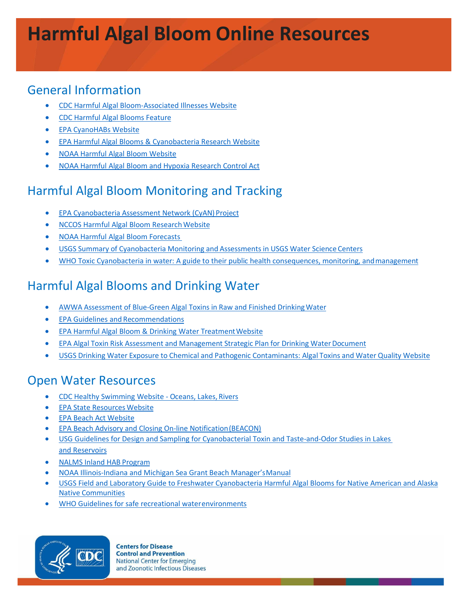# **Harmful Algal Bloom Online Resources**

#### General Information

- [CDC Harmful Algal Bloom-Associated Illnesses](http://www.cdc.gov/habs/) Website
- [CDC Harmful Algal Blooms Feature](https://www.cdc.gov/features/harmful-algal-blooms/index.html)
- [EPA CyanoHABs](https://www.epa.gov/nutrient-policy-data/cyanohabs) Website
- [EPA Harmful Algal Blooms & Cyanobacteria Research](https://www.epa.gov/water-research/harmful-algal-blooms-cyanobacteria) Website
- [NOAA Harmful Algal Bloom](http://oceanservice.noaa.gov/hazards/hab/) Website
- [NOAA Harmful Algal Bloom and Hypoxia Research Control](https://coastalscience.noaa.gov/research/habs/habhrca) Act

# Harmful Algal Bloom Monitoring and Tracking

- [EPA Cyanobacteria Assessment Network \(CyAN\)](https://www.epa.gov/water-research/cyanobacteria-assessment-network-cyan-project) Project
- NCCOS Harmful Algal Bloom Research Website
- [NOAA Harmful Algal Bloom Forecasts](https://tidesandcurrents.noaa.gov/hab_info.html)
- USGS Summary of [Cyanobacteria](http://water.usgs.gov/coop/products/qw/cyanobacteria.studies.WSCs.09122012.for.web.pdf) Monitoring and Assessments in USGS Water Science Centers
- WHO Toxic Cyanobacteria in water: A guide to their public health consequences, monitoring, and management

# Harmful Algal Blooms and Drinking Water

- AWWA Assessment of Blue-Green Algal Toxins in Raw and Finished [DrinkingWater](http://www.waterrf.org/PublicReportLibrary/90815.pdf)
- [EPA Guidelines and](https://www.epa.gov/nutrient-policy-data/guidelines-and-recommendations) Recommendations
- EPA Harmful Algal Bloom & Drinking Water Treatment Website
- EPA Algal Toxin Risk Assessment and Management Strategic Plan for Drinking [WaterDocument](https://www.epa.gov/nutrient-policy-data/algal-toxin-risk-assessment-and-management-strategic-plan-drinking-water)
- USGS Drinking Water Exposure to Chemical and Pathogenic [Contaminants:](http://health.usgs.gov/dw_contaminants/algal_toxins.html) Algal Toxins and Water Quality [Website](http://health.usgs.gov/dw_contaminants/algal_toxins.html)

#### Open Water Resources

- [CDC Healthy Swimming Website Oceans, Lakes,](https://www.cdc.gov/healthywater/swimming/oceans-lakes-rivers/index.html) Rivers
- [EPA State Resources](https://www.epa.gov/nutrient-policy-data/state-resources) Website
- [EPA Beach Act](https://www.epa.gov/beach-tech/about-beach-act) Website
- [EPA Beach Advisory and Closing On-line Notification\(BEACON\)](https://watersgeo.epa.gov/beacon2/Beacon.html)
- [USG Guidelines for Design and Sampling for Cyanobacterial Toxin and Taste-and-Odor Studies in Lakes](http://pubs.usgs.gov/sir/2008/5038/) [and Reservoirs](http://pubs.usgs.gov/sir/2008/5038/)
- [NALMS Inland HAB](http://www.nalms.org/home/programs/inland-hab-program/inland-hab-program.cmsx) Program
- [NOAA Illinois-Indiana and Michigan Sea Grant Beach Manager'sManual](https://seagrant.noaa.gov/News/Article/ArtMID/1660/ArticleID/263/The-Beach-Managers-Manuals-about-Harmful-Algal-Blooms)
- [USGS Field and Laboratory Guide to Freshwater Cyanobacteria Harmful Algal Blooms for Native American and Alaska](https://pubs.usgs.gov/of/2015/1164/ofr20151164.pdf) Native [Communities](https://pubs.usgs.gov/of/2015/1164/ofr20151164.pdf)
- [WHO Guidelines for safe recreational waterenvironments](http://www.who.int/water_sanitation_health/publications/srwe1/en/)



**Centers for Disease Control and Prevention National Center for Emerging** and Zoonotic Infectious Diseases